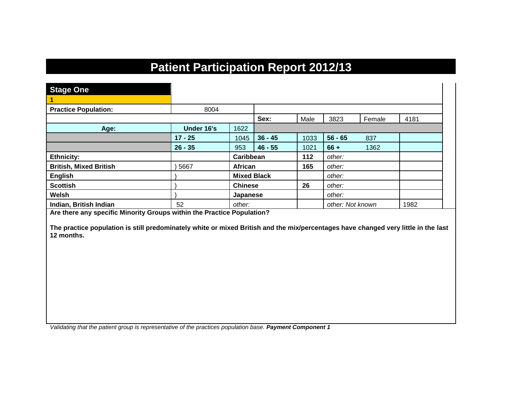## **Patient Participation Report 2012/13**

| <b>Stage One</b>              |            |                    |           |      |                  |        |      |
|-------------------------------|------------|--------------------|-----------|------|------------------|--------|------|
|                               |            |                    |           |      |                  |        |      |
| <b>Practice Population:</b>   | 8004       |                    |           |      |                  |        |      |
|                               |            |                    | Sex:      | Male | 3823             | Female | 4181 |
| Age:                          | Under 16's | 1622               |           |      |                  |        |      |
|                               | $17 - 25$  | 1045               | $36 - 45$ | 1033 | $56 - 65$        | 837    |      |
|                               | $26 - 35$  | 953                | $46 - 55$ | 1021 | $66 +$           | 1362   |      |
| <b>Ethnicity:</b>             |            | Caribbean          |           | 112  | other:           |        |      |
| <b>British, Mixed British</b> | 5667       | African            |           | 165  | other:           |        |      |
| <b>English</b>                |            | <b>Mixed Black</b> |           |      | other:           |        |      |
| <b>Scottish</b>               |            | <b>Chinese</b>     |           | 26   | other:           |        |      |
| Welsh                         |            | Japanese           |           |      | other:           |        |      |
| Indian, British Indian        | 52         | other:             |           |      | other: Not known |        | 1982 |

**Are there any specific Minority Groups within the Practice Population?**

**The practice population is still predominately white or mixed British and the mix/percentages have changed very little in the last 12 months.**

*Validating that the patient group is representative of the practices population base. Payment Component 1*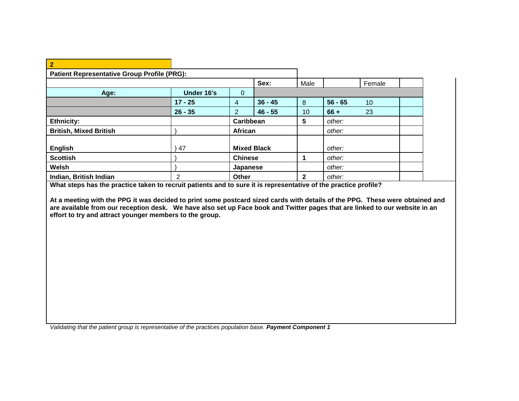| $\overline{2}$                                     |            |                |                    |              |           |        |  |
|----------------------------------------------------|------------|----------------|--------------------|--------------|-----------|--------|--|
| <b>Patient Representative Group Profile (PRG):</b> |            |                |                    |              |           |        |  |
|                                                    |            |                | Sex:               | Male         |           | Female |  |
| Age:                                               | Under 16's | $\mathbf{0}$   |                    |              |           |        |  |
|                                                    | $17 - 25$  | 4              | $36 - 45$          | 8            | $56 - 65$ | 10     |  |
|                                                    | $26 - 35$  | $\mathcal{P}$  | $46 - 55$          | 10           | $66 +$    | 23     |  |
| <b>Ethnicity:</b>                                  |            |                | Caribbean          | 5            | other:    |        |  |
| <b>British, Mixed British</b>                      |            | <b>African</b> |                    |              | other:    |        |  |
| <b>English</b>                                     | 47         |                | <b>Mixed Black</b> |              | other:    |        |  |
| <b>Scottish</b>                                    |            | <b>Chinese</b> |                    |              | other:    |        |  |
| Welsh                                              |            | Japanese       |                    |              | other:    |        |  |
| Indian, British Indian                             | 2          | <b>Other</b>   |                    | $\mathbf{2}$ | other:    |        |  |

**What steps has the practice taken to recruit patients and to sure it is representative of the practice profile?**

**At a meeting with the PPG it was decided to print some postcard sized cards with details of the PPG. These were obtained and are available from our reception desk. We have also set up Face book and Twitter pages that are linked to our website in an effort to try and attract younger members to the group.**

*Validating that the patient group is representative of the practices population base. Payment Component 1*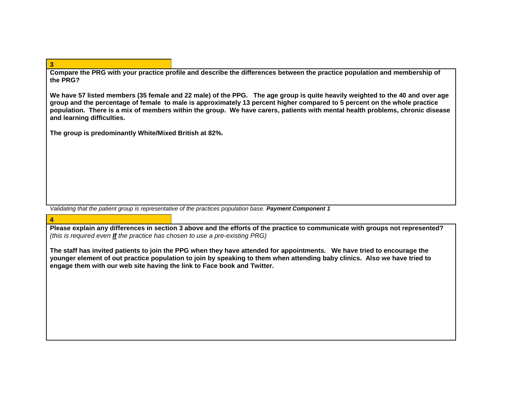**Compare the PRG with your practice profile and describe the differences between the practice population and membership of the PRG?**

**We have 57 listed members (35 female and 22 male) of the PPG. The age group is quite heavily weighted to the 40 and over age group and the percentage of female to male is approximately 13 percent higher compared to 5 percent on the whole practice population. There is a mix of members within the group. We have carers, patients with mental health problems, chronic disease and learning difficulties.**

**The group is predominantly White/Mixed British at 82%.** 

*Validating that the patient group is representative of the practices population base. Payment Component 1*

## **4**

**3**

**Please explain any differences in section 3 above and the efforts of the practice to communicate with groups not represented?**  *(this is required even If the practice has chosen to use a pre-existing PRG)*

**The staff has invited patients to join the PPG when they have attended for appointments. We have tried to encourage the younger element of out practice population to join by speaking to them when attending baby clinics. Also we have tried to engage them with our web site having the link to Face book and Twitter.**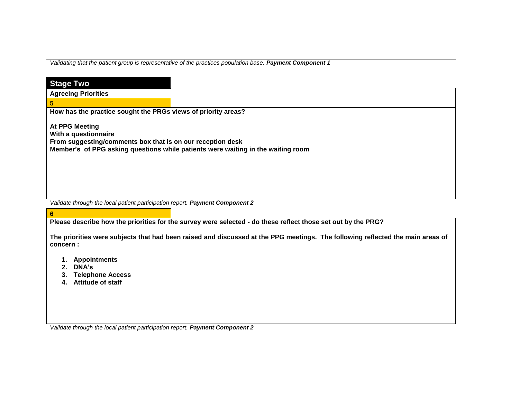*Validating that the patient group is representative of the practices population base. Payment Component 1* 

| <b>Stage Two</b>                                                                   |                                                                                                                                |
|------------------------------------------------------------------------------------|--------------------------------------------------------------------------------------------------------------------------------|
| <b>Agreeing Priorities</b>                                                         |                                                                                                                                |
| 5                                                                                  |                                                                                                                                |
| How has the practice sought the PRGs views of priority areas?                      |                                                                                                                                |
|                                                                                    |                                                                                                                                |
| <b>At PPG Meeting</b>                                                              |                                                                                                                                |
| With a questionnaire<br>From suggesting/comments box that is on our reception desk |                                                                                                                                |
|                                                                                    | Member's of PPG asking questions while patients were waiting in the waiting room                                               |
|                                                                                    |                                                                                                                                |
|                                                                                    |                                                                                                                                |
|                                                                                    |                                                                                                                                |
|                                                                                    |                                                                                                                                |
|                                                                                    |                                                                                                                                |
| Validate through the local patient participation report. Payment Component 2       |                                                                                                                                |
|                                                                                    |                                                                                                                                |
| $6\phantom{1}$                                                                     |                                                                                                                                |
|                                                                                    | Please describe how the priorities for the survey were selected - do these reflect those set out by the PRG?                   |
|                                                                                    | The priorities were subjects that had been raised and discussed at the PPG meetings. The following reflected the main areas of |
| concern:                                                                           |                                                                                                                                |
|                                                                                    |                                                                                                                                |
| 1. Appointments                                                                    |                                                                                                                                |
| 2. DNA's                                                                           |                                                                                                                                |
| <b>Telephone Access</b><br>З.<br>Attitude of staff<br>4.                           |                                                                                                                                |
|                                                                                    |                                                                                                                                |
|                                                                                    |                                                                                                                                |
|                                                                                    |                                                                                                                                |
|                                                                                    |                                                                                                                                |

*Validate through the local patient participation report. Payment Component 2*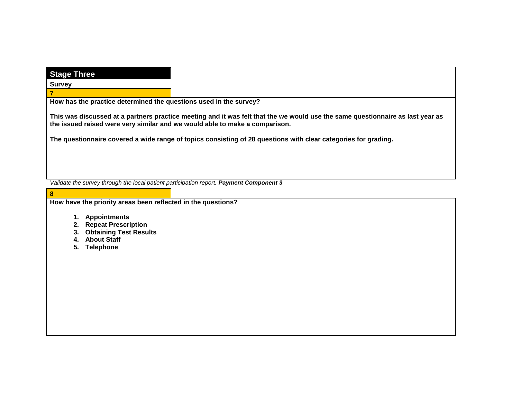| <b>Stage Three</b>                                                                      |                                                                                                                                |
|-----------------------------------------------------------------------------------------|--------------------------------------------------------------------------------------------------------------------------------|
| <b>Survey</b>                                                                           |                                                                                                                                |
| 7                                                                                       |                                                                                                                                |
| How has the practice determined the questions used in the survey?                       |                                                                                                                                |
| the issued raised were very similar and we would able to make a comparison.             | This was discussed at a partners practice meeting and it was felt that the we would use the same questionnaire as last year as |
|                                                                                         | The questionnaire covered a wide range of topics consisting of 28 questions with clear categories for grading.                 |
|                                                                                         |                                                                                                                                |
| Validate the survey through the local patient participation report. Payment Component 3 |                                                                                                                                |
| 8                                                                                       |                                                                                                                                |
| How have the priority areas been reflected in the questions?                            |                                                                                                                                |
| 1. Appointments<br>2. Repeat Prescription<br>3. Obtaining Test Results                  |                                                                                                                                |
| 4. About Staff                                                                          |                                                                                                                                |
| <b>Telephone</b><br>5.                                                                  |                                                                                                                                |
|                                                                                         |                                                                                                                                |
|                                                                                         |                                                                                                                                |
|                                                                                         |                                                                                                                                |
|                                                                                         |                                                                                                                                |
|                                                                                         |                                                                                                                                |
|                                                                                         |                                                                                                                                |
|                                                                                         |                                                                                                                                |
|                                                                                         |                                                                                                                                |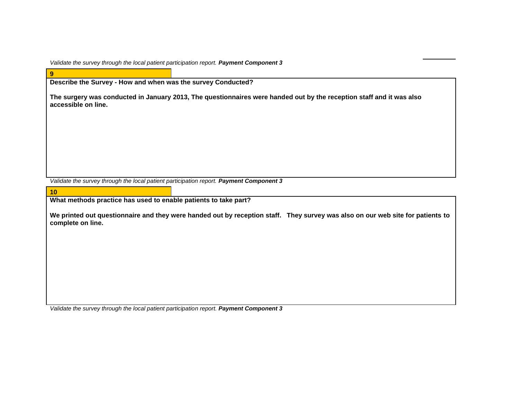*Validate the survey through the local patient participation report. Payment Component 3*

| Describe the Survey - How and when was the survey Conducted?<br>The surgery was conducted in January 2013, The questionnaires were handed out by the reception staff and it was also<br>accessible on line. |
|-------------------------------------------------------------------------------------------------------------------------------------------------------------------------------------------------------------|
|                                                                                                                                                                                                             |
|                                                                                                                                                                                                             |
|                                                                                                                                                                                                             |
|                                                                                                                                                                                                             |
|                                                                                                                                                                                                             |
|                                                                                                                                                                                                             |
|                                                                                                                                                                                                             |
|                                                                                                                                                                                                             |
|                                                                                                                                                                                                             |
|                                                                                                                                                                                                             |
|                                                                                                                                                                                                             |
|                                                                                                                                                                                                             |
|                                                                                                                                                                                                             |
| Validate the survey through the local patient participation report. Payment Component 3                                                                                                                     |
|                                                                                                                                                                                                             |
| 10                                                                                                                                                                                                          |
| What methods practice has used to enable patients to take part?                                                                                                                                             |
|                                                                                                                                                                                                             |
| We printed out questionnaire and they were handed out by reception staff. They survey was also on our web site for patients to                                                                              |
| complete on line.                                                                                                                                                                                           |
|                                                                                                                                                                                                             |
|                                                                                                                                                                                                             |
|                                                                                                                                                                                                             |
|                                                                                                                                                                                                             |
|                                                                                                                                                                                                             |
|                                                                                                                                                                                                             |
|                                                                                                                                                                                                             |
|                                                                                                                                                                                                             |
|                                                                                                                                                                                                             |
|                                                                                                                                                                                                             |
|                                                                                                                                                                                                             |

*Validate the survey through the local patient participation report. Payment Component 3*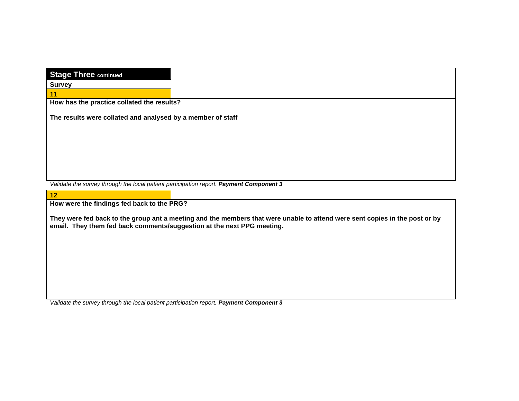| <b>Stage Three continued</b>                                                            |                                                                                                                             |
|-----------------------------------------------------------------------------------------|-----------------------------------------------------------------------------------------------------------------------------|
| <b>Survey</b>                                                                           |                                                                                                                             |
| 11                                                                                      |                                                                                                                             |
| How has the practice collated the results?                                              |                                                                                                                             |
| The results were collated and analysed by a member of staff                             |                                                                                                                             |
|                                                                                         |                                                                                                                             |
|                                                                                         |                                                                                                                             |
|                                                                                         |                                                                                                                             |
|                                                                                         |                                                                                                                             |
|                                                                                         |                                                                                                                             |
| Validate the survey through the local patient participation report. Payment Component 3 |                                                                                                                             |
|                                                                                         |                                                                                                                             |
| 12                                                                                      |                                                                                                                             |
| How were the findings fed back to the PRG?                                              |                                                                                                                             |
| email. They them fed back comments/suggestion at the next PPG meeting.                  | They were fed back to the group ant a meeting and the members that were unable to attend were sent copies in the post or by |
|                                                                                         |                                                                                                                             |
|                                                                                         |                                                                                                                             |
|                                                                                         |                                                                                                                             |
|                                                                                         |                                                                                                                             |
|                                                                                         |                                                                                                                             |

*Validate the survey through the local patient participation report. Payment Component 3*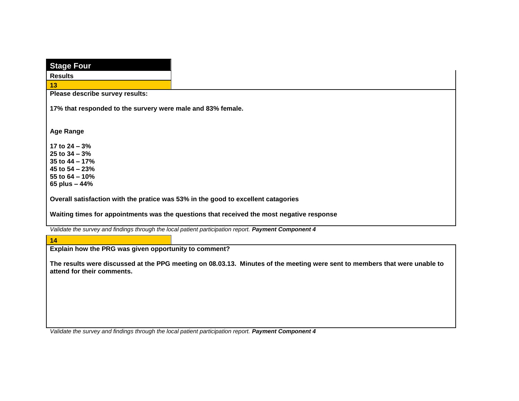| <b>Stage Four</b>                                                        |                                                                                                                            |
|--------------------------------------------------------------------------|----------------------------------------------------------------------------------------------------------------------------|
| <b>Results</b>                                                           |                                                                                                                            |
| 13                                                                       |                                                                                                                            |
| Please describe survey results:                                          |                                                                                                                            |
| 17% that responded to the survery were male and 83% female.              |                                                                                                                            |
| <b>Age Range</b>                                                         |                                                                                                                            |
| 17 to $24 - 3%$<br>25 to $34 - 3%$<br>35 to $44 - 17%$<br>45 to 54 - 23% |                                                                                                                            |
| 55 to 64 - 10%<br>65 plus - 44%                                          |                                                                                                                            |
|                                                                          | Overall satisfaction with the pratice was 53% in the good to excellent catagories                                          |
|                                                                          |                                                                                                                            |
|                                                                          | Waiting times for appointments was the questions that received the most negative response                                  |
|                                                                          | Validate the survey and findings through the local patient participation report. Payment Component 4                       |
| 14                                                                       |                                                                                                                            |
| Explain how the PRG was given opportunity to comment?                    |                                                                                                                            |
| attend for their comments.                                               | The results were discussed at the PPG meeting on 08.03.13. Minutes of the meeting were sent to members that were unable to |
|                                                                          |                                                                                                                            |
|                                                                          |                                                                                                                            |
|                                                                          |                                                                                                                            |
|                                                                          |                                                                                                                            |

*Validate the survey and findings through the local patient participation report. Payment Component 4*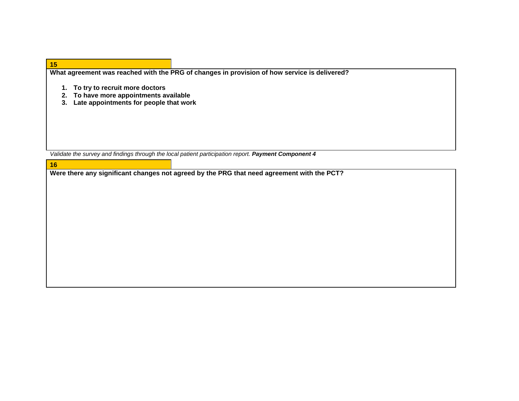| 15                                                                                                                    |                                                                                                      |
|-----------------------------------------------------------------------------------------------------------------------|------------------------------------------------------------------------------------------------------|
|                                                                                                                       | What agreement was reached with the PRG of changes in provision of how service is delivered?         |
| To try to recruit more doctors<br>To have more appointments available<br>Late appointments for people that work<br>З. |                                                                                                      |
|                                                                                                                       | Validate the survey and findings through the local patient participation report. Payment Component 4 |
| 16                                                                                                                    |                                                                                                      |
|                                                                                                                       | Were there any significant changes not agreed by the DDC that need agreement with the DCT2           |

**Were there any significant changes not agreed by the PRG that need agreement with the PCT?**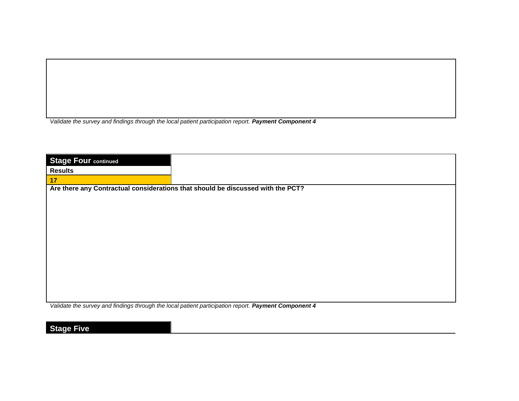*Validate the survey and findings through the local patient participation report. Payment Component 4* 

| <b>Stage Four continued</b> |                                                                                 |
|-----------------------------|---------------------------------------------------------------------------------|
| <b>Results</b>              |                                                                                 |
| $\vert$ 17                  |                                                                                 |
|                             | Are there any Contractual considerations that should be discussed with the PCT? |
|                             |                                                                                 |
|                             |                                                                                 |
|                             |                                                                                 |
|                             |                                                                                 |
|                             |                                                                                 |
|                             |                                                                                 |
|                             |                                                                                 |
|                             |                                                                                 |
|                             |                                                                                 |
|                             |                                                                                 |
|                             |                                                                                 |
|                             |                                                                                 |

*Validate the survey and findings through the local patient participation report. Payment Component 4* 

**Stage Five**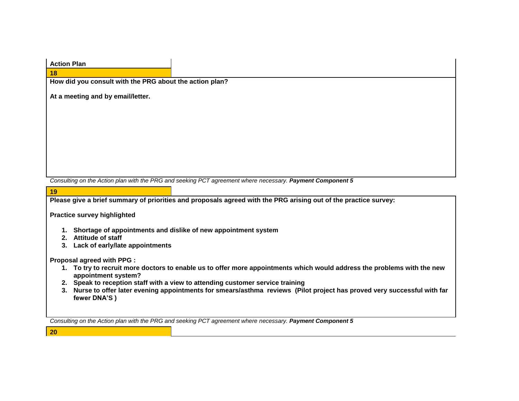| <b>Action Plan</b>                                                |                                                                                                                           |
|-------------------------------------------------------------------|---------------------------------------------------------------------------------------------------------------------------|
| 18                                                                |                                                                                                                           |
| How did you consult with the PRG about the action plan?           |                                                                                                                           |
| At a meeting and by email/letter.                                 |                                                                                                                           |
|                                                                   |                                                                                                                           |
|                                                                   |                                                                                                                           |
|                                                                   |                                                                                                                           |
|                                                                   |                                                                                                                           |
|                                                                   |                                                                                                                           |
|                                                                   |                                                                                                                           |
|                                                                   |                                                                                                                           |
|                                                                   | Consulting on the Action plan with the PRG and seeking PCT agreement where necessary. Payment Component 5                 |
| 19                                                                |                                                                                                                           |
|                                                                   | Please give a brief summary of priorities and proposals agreed with the PRG arising out of the practice survey:           |
|                                                                   |                                                                                                                           |
| <b>Practice survey highlighted</b>                                |                                                                                                                           |
|                                                                   |                                                                                                                           |
| 1. Shortage of appointments and dislike of new appointment system |                                                                                                                           |
| 2. Attitude of staff                                              |                                                                                                                           |
| 3. Lack of early/late appointments                                |                                                                                                                           |
| Proposal agreed with PPG :                                        |                                                                                                                           |
|                                                                   | 1. To try to recruit more doctors to enable us to offer more appointments which would address the problems with the new   |
| appointment system?                                               |                                                                                                                           |
|                                                                   | 2. Speak to reception staff with a view to attending customer service training                                            |
| fewer DNA'S)                                                      | 3. Nurse to offer later evening appointments for smears/asthma reviews (Pilot project has proved very successful with far |
|                                                                   |                                                                                                                           |
|                                                                   | Consulting on the Action plan with the PRG and seeking PCT agreement where necessary. Payment Component 5                 |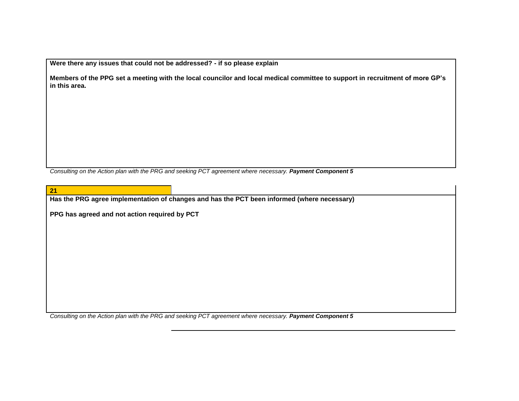**Were there any issues that could not be addressed? - if so please explain**

**Members of the PPG set a meeting with the local councilor and local medical committee to support in recruitment of more GP's in this area.**

*Consulting on the Action plan with the PRG and seeking PCT agreement where necessary. Payment Component 5*

| $\sqrt{21}$                                   |                                                                                             |
|-----------------------------------------------|---------------------------------------------------------------------------------------------|
|                                               | Has the PRG agree implementation of changes and has the PCT been informed (where necessary) |
|                                               |                                                                                             |
| PPG has agreed and not action required by PCT |                                                                                             |
|                                               |                                                                                             |
|                                               |                                                                                             |
|                                               |                                                                                             |
|                                               |                                                                                             |
|                                               |                                                                                             |
|                                               |                                                                                             |
|                                               |                                                                                             |
|                                               |                                                                                             |
|                                               |                                                                                             |
|                                               |                                                                                             |
|                                               |                                                                                             |

*Consulting on the Action plan with the PRG and seeking PCT agreement where necessary. Payment Component 5*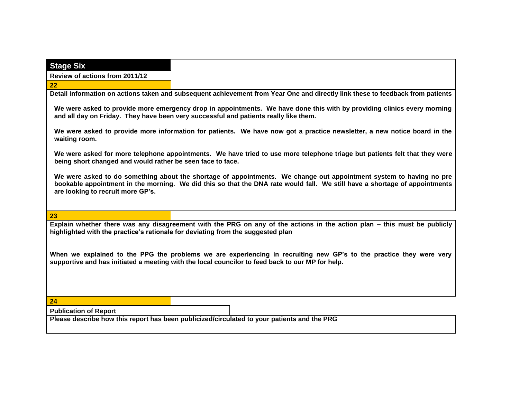| <b>Stage Six</b>                                                                |                                                                                                                                                                                                                                                   |
|---------------------------------------------------------------------------------|---------------------------------------------------------------------------------------------------------------------------------------------------------------------------------------------------------------------------------------------------|
| Review of actions from 2011/12                                                  |                                                                                                                                                                                                                                                   |
| 22                                                                              |                                                                                                                                                                                                                                                   |
|                                                                                 | Detail information on actions taken and subsequent achievement from Year One and directly link these to feedback from patients                                                                                                                    |
|                                                                                 | We were asked to provide more emergency drop in appointments. We have done this with by providing clinics every morning<br>and all day on Friday. They have been very successful and patients really like them.                                   |
| waiting room.                                                                   | We were asked to provide more information for patients. We have now got a practice newsletter, a new notice board in the                                                                                                                          |
| being short changed and would rather be seen face to face.                      | We were asked for more telephone appointments. We have tried to use more telephone triage but patients felt that they were                                                                                                                        |
| are looking to recruit more GP's.                                               | We were asked to do something about the shortage of appointments. We change out appointment system to having no pre<br>bookable appointment in the morning. We did this so that the DNA rate would fall. We still have a shortage of appointments |
| 23                                                                              |                                                                                                                                                                                                                                                   |
| highlighted with the practice's rationale for deviating from the suggested plan | Explain whether there was any disagreement with the PRG on any of the actions in the action plan – this must be publicly                                                                                                                          |
|                                                                                 | When we explained to the PPG the problems we are experiencing in recruiting new GP's to the practice they were very<br>supportive and has initiated a meeting with the local councilor to feed back to our MP for help.                           |
|                                                                                 |                                                                                                                                                                                                                                                   |
| 24                                                                              |                                                                                                                                                                                                                                                   |
| <b>Publication of Report</b>                                                    |                                                                                                                                                                                                                                                   |
|                                                                                 | Please describe how this report has been publicized/circulated to your patients and the PRG                                                                                                                                                       |